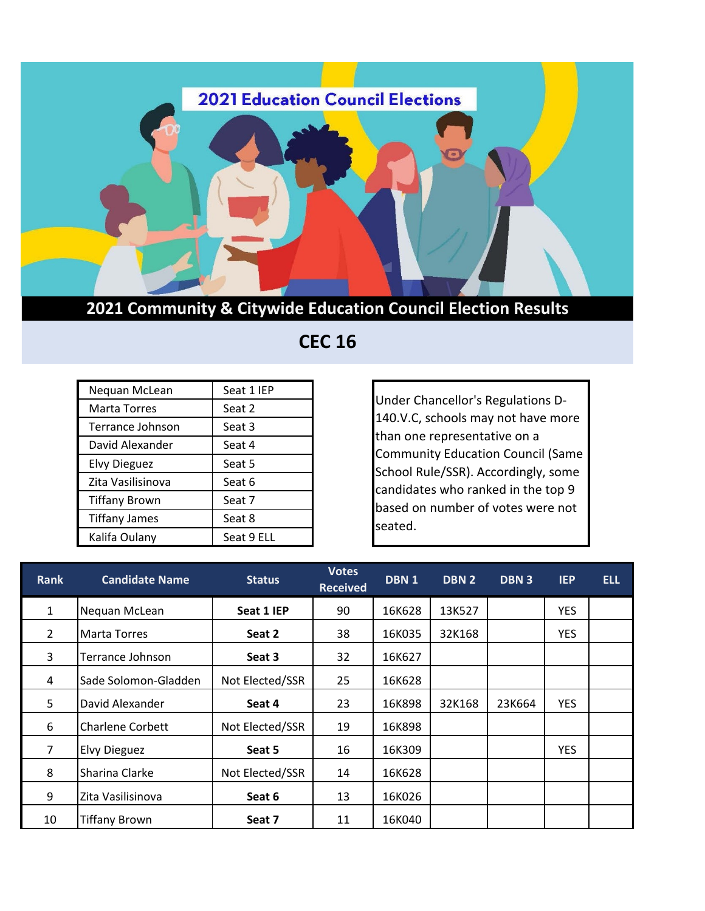

**2021 Community & Citywide Education Council Election Results**

 **CEC 16** 

| Nequan McLean        | Seat 1 IEP |  |  |
|----------------------|------------|--|--|
| <b>Marta Torres</b>  | Seat 2     |  |  |
| Terrance Johnson     | Seat 3     |  |  |
| David Alexander      | Seat 4     |  |  |
| <b>Elvy Dieguez</b>  | Seat 5     |  |  |
| Zita Vasilisinova    | Seat 6     |  |  |
| <b>Tiffany Brown</b> | Seat 7     |  |  |
| <b>Tiffany James</b> | Seat 8     |  |  |
| Kalifa Oulany        | Seat 9 ELL |  |  |

Under Chancellor's Regulations D-140.V.C, schools may not have more than one representative on a Community Education Council (Same School Rule/SSR). Accordingly, some candidates who ranked in the top 9 based on number of votes were not seated.

| Rank           | <b>Candidate Name</b>   | <b>Status</b>   | <b>Votes</b><br><b>Received</b> | DBN <sub>1</sub> | DBN <sub>2</sub> | DBN <sub>3</sub> | <b>IEP</b> | <b>ELL</b> |
|----------------|-------------------------|-----------------|---------------------------------|------------------|------------------|------------------|------------|------------|
| 1              | Nequan McLean           | Seat 1 IEP      | 90                              | 16K628           | 13K527           |                  | <b>YES</b> |            |
| $\overline{2}$ | <b>Marta Torres</b>     | Seat 2          | 38                              | 16K035           | 32K168           |                  | <b>YES</b> |            |
| 3              | Terrance Johnson        | Seat 3          | 32                              | 16K627           |                  |                  |            |            |
| 4              | Sade Solomon-Gladden    | Not Elected/SSR | 25                              | 16K628           |                  |                  |            |            |
| 5              | David Alexander         | Seat 4          | 23                              | 16K898           | 32K168           | 23K664           | <b>YES</b> |            |
| 6              | <b>Charlene Corbett</b> | Not Elected/SSR | 19                              | 16K898           |                  |                  |            |            |
| 7              | <b>Elvy Dieguez</b>     | Seat 5          | 16                              | 16K309           |                  |                  | <b>YES</b> |            |
| 8              | Sharina Clarke          | Not Elected/SSR | 14                              | 16K628           |                  |                  |            |            |
| 9              | Zita Vasilisinova       | Seat 6          | 13                              | 16K026           |                  |                  |            |            |
| 10             | <b>Tiffany Brown</b>    | Seat 7          | 11                              | 16K040           |                  |                  |            |            |